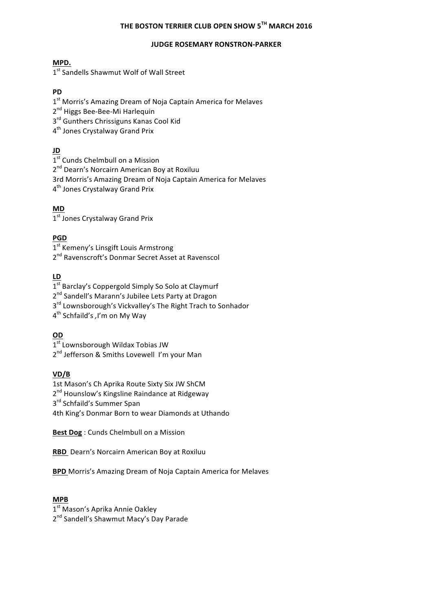# **THE BOSTON TERRIER CLUB OPEN SHOW 5TH MARCH 2016**

#### **JUDGE ROSEMARY RONSTRON-PARKER**

### **MPD.**

1<sup>st</sup> Sandells Shawmut Wolf of Wall Street

### **PD**

1<sup>st</sup> Morris's Amazing Dream of Noja Captain America for Melaves

2<sup>nd</sup> Higgs Bee-Bee-Mi Harlequin

3<sup>rd</sup> Gunthers Chrissiguns Kanas Cool Kid

4<sup>th</sup> Jones Crystalway Grand Prix

### **JD**

 $1<sup>st</sup>$  Cunds Chelmbull on a Mission

2<sup>nd</sup> Dearn's Norcairn American Boy at Roxiluu

3rd Morris's Amazing Dream of Noja Captain America for Melaves

4<sup>th</sup> Jones Crystalway Grand Prix

# **MD**

1<sup>st</sup> Jones Crystalway Grand Prix

### **PGD**

1<sup>st</sup> Kemeny's Linsgift Louis Armstrong

2<sup>nd</sup> Ravenscroft's Donmar Secret Asset at Ravenscol

# **LD**

1<sup>st</sup> Barclay's Coppergold Simply So Solo at Claymurf

2<sup>nd</sup> Sandell's Marann's Jubilee Lets Party at Dragon

 $3<sup>rd</sup>$  Lownsborough's Vickvalley's The Right Trach to Sonhador

4th Schfaild's *,*I'm on My Way

# **OD**

 $1<sup>st</sup>$  Lownsborough Wildax Tobias JW

2<sup>nd</sup> Jefferson & Smiths Lovewell I'm your Man

# **VD/B**

1st Mason's Ch Aprika Route Sixty Six JW ShCM

2<sup>nd</sup> Hounslow's Kingsline Raindance at Ridgeway

3<sup>rd</sup> Schfaild's Summer Span

4th King's Donmar Born to wear Diamonds at Uthando

**Best Dog** : Cunds Chelmbull on a Mission

**RBD** Dearn's Norcairn American Boy at Roxiluu

**BPD** Morris's Amazing Dream of Noja Captain America for Melaves

### **MPB**

1<sup>st</sup> Mason's Aprika Annie Oakley

2<sup>nd</sup> Sandell's Shawmut Macy's Day Parade